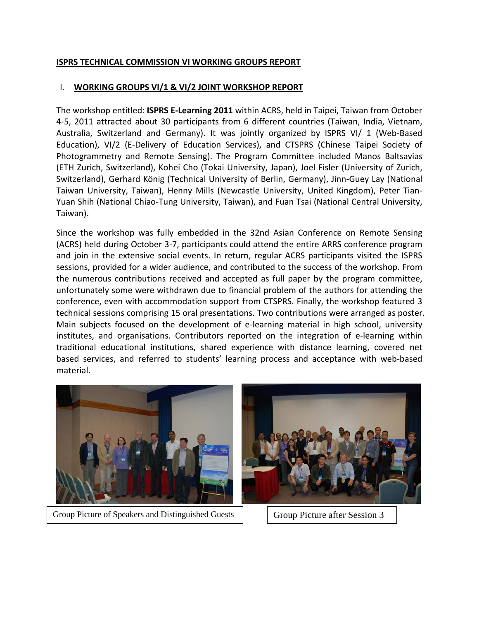## **ISPRS TECHNICAL COMMISSION VI WORKING GROUPS REPORT**

## I. **WORKING GROUPS VI/1 & VI/2 JOINT WORKSHOP REPORT**

The workshop entitled: **ISPRS E-Learning 2011** within ACRS, held in Taipei, Taiwan from October 4-5, 2011 attracted about 30 participants from 6 different countries (Taiwan, India, Vietnam, Australia, Switzerland and Germany). It was jointly organized by ISPRS VI/ 1 (Web-Based Education), VI/2 (E-Delivery of Education Services), and CTSPRS (Chinese Taipei Society of Photogrammetry and Remote Sensing). The Program Committee included Manos Baltsavias (ETH Zurich, Switzerland), Kohei Cho (Tokai University, Japan), Joel Fisler (University of Zurich, Switzerland), Gerhard König (Technical University of Berlin, Germany), Jinn-Guey Lay (National Taiwan University, Taiwan), Henny Mills (Newcastle University, United Kingdom), Peter Tian-Yuan Shih (National Chiao-Tung University, Taiwan), and Fuan Tsai (National Central University, Taiwan).

Since the workshop was fully embedded in the 32nd Asian Conference on Remote Sensing (ACRS) held during October 3-7, participants could attend the entire ARRS conference program and join in the extensive social events. In return, regular ACRS participants visited the ISPRS sessions, provided for a wider audience, and contributed to the success of the workshop. From the numerous contributions received and accepted as full paper by the program committee, unfortunately some were withdrawn due to financial problem of the authors for attending the conference, even with accommodation support from CTSPRS. Finally, the workshop featured 3 technical sessions comprising 15 oral presentations. Two contributions were arranged as poster. Main subjects focused on the development of e-learning material in high school, university institutes, and organisations. Contributors reported on the integration of e-learning within traditional educational institutions, shared experience with distance learning, covered net based services, and referred to students' learning process and acceptance with web-based material.



Group Picture of Speakers and Distinguished Guests Group Picture after Session 3

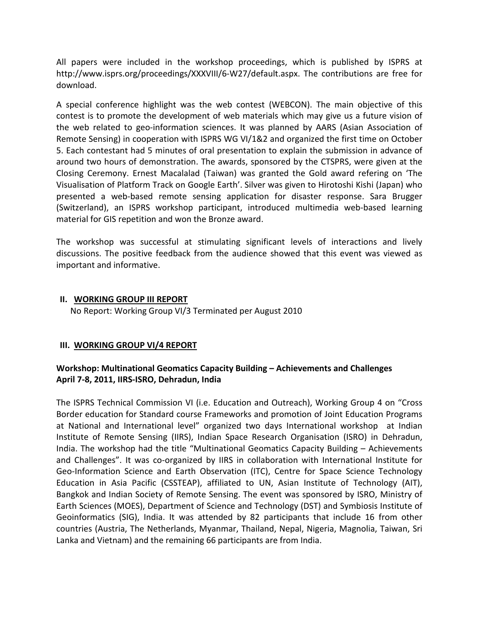All papers were included in the workshop proceedings, which is published by ISPRS at [http://www.isprs.org/proceedings/XXXVIII/6-W27/default.aspx.](http://www.isprs.org/proceedings/XXXVIII/6-W27/default.aspx) The contributions are free for download.

A special conference highlight was the web contest (WEBCON). The main objective of this contest is to promote the development of web materials which may give us a future vision of the web related to geo-information sciences. It was planned by AARS (Asian Association of Remote Sensing) in cooperation with ISPRS WG VI/1&2 and organized the first time on October 5. Each contestant had 5 minutes of oral presentation to explain the submission in advance of around two hours of demonstration. The awards, sponsored by the CTSPRS, were given at the Closing Ceremony. Ernest Macalalad (Taiwan) was granted the Gold award refering on 'The Visualisation of Platform Track on Google Earth'. Silver was given to Hirotoshi Kishi (Japan) who presented a web-based remote sensing application for disaster response. Sara Brugger (Switzerland), an ISPRS workshop participant, introduced multimedia web-based learning material for GIS repetition and won the Bronze award.

The workshop was successful at stimulating significant levels of interactions and lively discussions. The positive feedback from the audience showed that this event was viewed as important and informative.

## **II. WORKING GROUP III REPORT**

No Report: Working Group VI/3 Terminated per August 2010

## **III. WORKING GROUP VI/4 REPORT**

# **Workshop: Multinational Geomatics Capacity Building – Achievements and Challenges April 7-8, 2011, IIRS-ISRO, Dehradun, India**

The ISPRS Technical Commission VI (i.e. Education and Outreach), Working Group 4 on "Cross Border education for Standard course Frameworks and promotion of Joint Education Programs at National and International level" organized two days International workshop at Indian Institute of Remote Sensing (IIRS), Indian Space Research Organisation (ISRO) in Dehradun, India. The workshop had the title "Multinational Geomatics Capacity Building – Achievements and Challenges". It was co-organized by IIRS in collaboration with International Institute for Geo-Information Science and Earth Observation (ITC), Centre for Space Science Technology Education in Asia Pacific (CSSTEAP), affiliated to UN, Asian Institute of Technology (AIT), Bangkok and Indian Society of Remote Sensing. The event was sponsored by ISRO, Ministry of Earth Sciences (MOES), Department of Science and Technology (DST) and Symbiosis Institute of Geoinformatics (SIG), India. It was attended by 82 participants that include 16 from other countries (Austria, The Netherlands, Myanmar, Thailand, Nepal, Nigeria, Magnolia, Taiwan, Sri Lanka and Vietnam) and the remaining 66 participants are from India.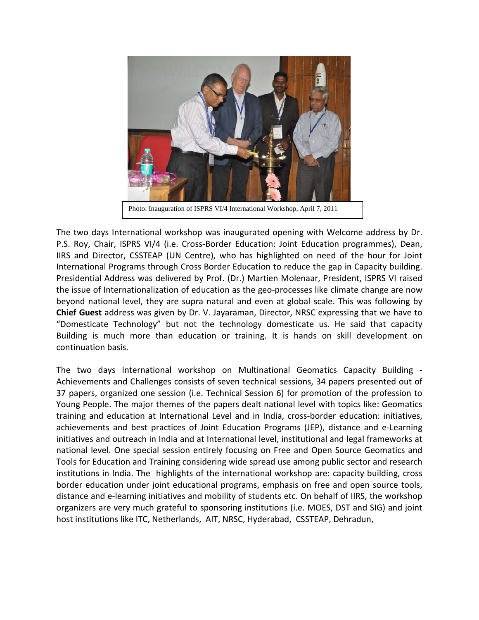

Photo: Inauguration of ISPRS VI/4 International Workshop, April 7, 2011

The two days International workshop was inaugurated opening with Welcome address by Dr. P.S. Roy, Chair, ISPRS VI/4 (i.e. Cross-Border Education: Joint Education programmes), Dean, IIRS and Director, CSSTEAP (UN Centre), who has highlighted on need of the hour for Joint International Programs through Cross Border Education to reduce the gap in Capacity building. Presidential Address was delivered by Prof. (Dr.) Martien Molenaar, President, ISPRS VI raised the issue of Internationalization of education as the geo-processes like climate change are now beyond national level, they are supra natural and even at global scale. This was following by **Chief Guest** address was given by Dr. V. Jayaraman, Director, NRSC expressing that we have to "Domesticate Technology" but not the technology domesticate us. He said that capacity Building is much more than education or training. It is hands on skill development on continuation basis.

The two days International workshop on Multinational Geomatics Capacity Building - Achievements and Challenges consists of seven technical sessions, 34 papers presented out of 37 papers, organized one session (i.e. Technical Session 6) for promotion of the profession to Young People. The major themes of the papers dealt national level with topics like: Geomatics training and education at International Level and in India, cross-border education: initiatives, achievements and best practices of Joint Education Programs (JEP), distance and e-Learning initiatives and outreach in India and at International level, institutional and legal frameworks at national level. One special session entirely focusing on Free and Open Source Geomatics and Tools for Education and Training considering wide spread use among public sector and research institutions in India. The highlights of the international workshop are: capacity building, cross border education under joint educational programs, emphasis on free and open source tools, distance and e-learning initiatives and mobility of students etc. On behalf of IIRS, the workshop organizers are very much grateful to sponsoring institutions (i.e. MOES, DST and SIG) and joint host institutions like ITC, Netherlands, AIT, NRSC, Hyderabad, CSSTEAP, Dehradun,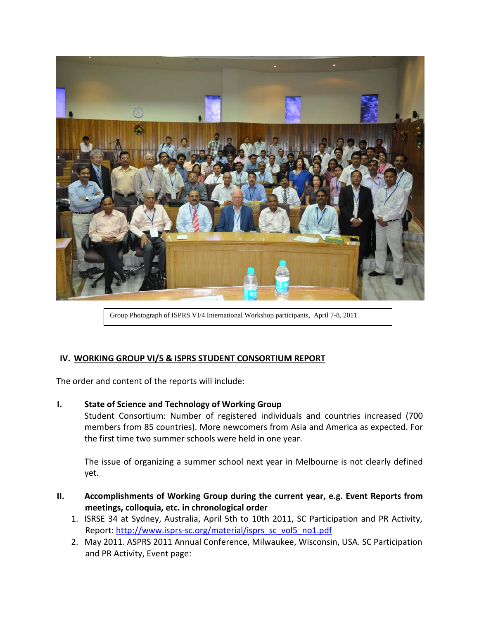

Group Photograph of ISPRS VI/4 International Workshop participants, April 7-8, 2011

## **IV. WORKING GROUP VI/5 & ISPRS STUDENT CONSORTIUM REPORT**

The order and content of the reports will include:

#### **I. State of Science and Technology of Working Group**

Student Consortium: Number of registered individuals and countries increased (700 members from 85 countries). More newcomers from Asia and America as expected. For the first time two summer schools were held in one year.

The issue of organizing a summer school next year in Melbourne is not clearly defined yet.

- **II. Accomplishments of Working Group during the current year, e.g. Event Reports from meetings, colloquia, etc. in chronological order**
	- 1. ISRSE 34 at Sydney, Australia, April 5th to 10th 2011, SC Participation and PR Activity, Report: [http://www.isprs-sc.org/material/isprs\\_sc\\_vol5\\_no1.pdf](http://www.isprs-sc.org/material/isprs_sc_vol5_no1.pdf)
	- 2. May 2011. ASPRS 2011 Annual Conference, Milwaukee, Wisconsin, USA. SC Participation and PR Activity, Event page: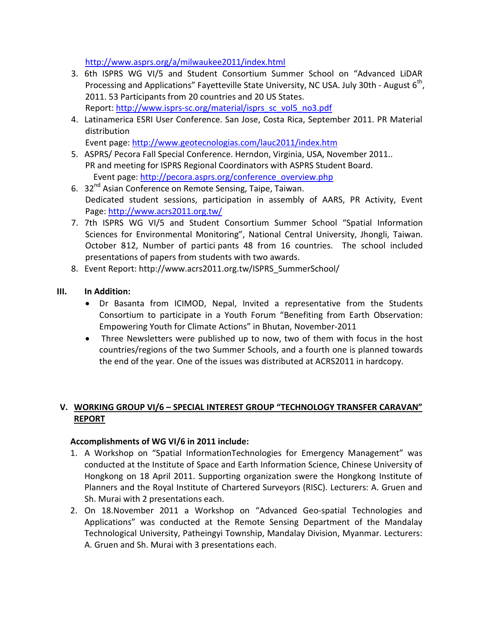<http://www.asprs.org/a/milwaukee2011/index.html>

- 3. 6th ISPRS WG VI/5 and Student Consortium Summer School on "Advanced LiDAR Processing and Applications" Fayetteville State University, NC USA. July 30th - August  $6<sup>th</sup>$ , 2011. 53 Participants from 20 countries and 20 US States. Report: [http://www.isprs-sc.org/material/isprs\\_sc\\_vol5\\_no3.pdf](http://www.isprs-sc.org/material/isprs_sc_vol5_no3.pdf)
- 4. Latinamerica ESRI User Conference. San Jose, Costa Rica, September 2011. PR Material distribution

Event page:<http://www.geotecnologias.com/lauc2011/index.htm>

- 5. ASPRS/ Pecora Fall Special Conference. Herndon, Virginia, USA, November 2011.. PR and meeting for ISPRS Regional Coordinators with ASPRS Student Board. Event page: [http://pecora.asprs.org/conference\\_overview.php](http://pecora.asprs.org/conference_overview.php)
- 6. 32<sup>nd</sup> Asian Conference on Remote Sensing, Taipe, Taiwan. Dedicated student sessions, participation in assembly of AARS, PR Activity, Event Page:<http://www.acrs2011.org.tw/>
- 7. 7th ISPRS WG VI/5 and Student Consortium Summer School "Spatial Information Sciences for Environmental Monitoring", National Central University, Jhongli, Taiwan. October 812, Number of partici pants 48 from 16 countries. The school included presentations of papers from students with two awards.
- 8. Event Report: [http://www.acrs2011.org.tw/ISPRS\\_SummerSchool/](http://www.acrs2011.org.tw/ISPRS_SummerSchool/)

#### **III. In Addition:**

- Dr Basanta from ICIMOD, Nepal, Invited a representative from the Students Consortium to participate in a Youth Forum "Benefiting from Earth Observation: Empowering Youth for Climate Actions" in Bhutan, November-2011
- Three Newsletters were published up to now, two of them with focus in the host countries/regions of the two Summer Schools, and a fourth one is planned towards the end of the year. One of the issues was distributed at ACRS2011 in hardcopy.

## **V. WORKING GROUP VI/6 – SPECIAL INTEREST GROUP "TECHNOLOGY TRANSFER CARAVAN" REPORT**

#### **Accomplishments of WG VI/6 in 2011 include:**

- 1. A Workshop on "Spatial InformationTechnologies for Emergency Management" was conducted at the Institute of Space and Earth Information Science, Chinese University of Hongkong on 18 April 2011. Supporting organization swere the Hongkong Institute of Planners and the Royal Institute of Chartered Surveyors (RISC). Lecturers: A. Gruen and Sh. Murai with 2 presentations each.
- 2. On 18.November 2011 a Workshop on "Advanced Geo-spatial Technologies and Applications" was conducted at the Remote Sensing Department of the Mandalay Technological University, Patheingyi Township, Mandalay Division, Myanmar. Lecturers: A. Gruen and Sh. Murai with 3 presentations each.